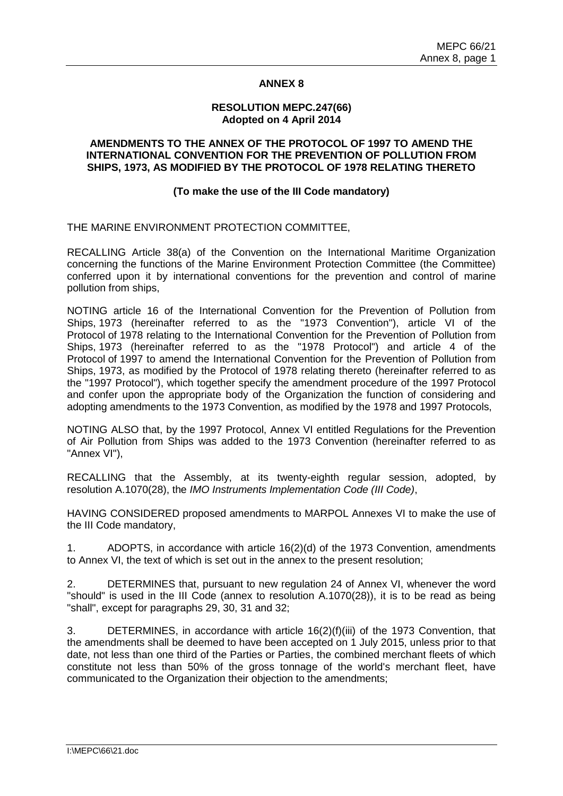#### **ANNEX 8**

#### **RESOLUTION MEPC.247(66) Adopted on 4 April 2014**

## **AMENDMENTS TO THE ANNEX OF THE PROTOCOL OF 1997 TO AMEND THE INTERNATIONAL CONVENTION FOR THE PREVENTION OF POLLUTION FROM SHIPS, 1973, AS MODIFIED BY THE PROTOCOL OF 1978 RELATING THERETO**

# **(To make the use of the III Code mandatory)**

THE MARINE ENVIRONMENT PROTECTION COMMITTEE,

RECALLING Article 38(a) of the Convention on the International Maritime Organization concerning the functions of the Marine Environment Protection Committee (the Committee) conferred upon it by international conventions for the prevention and control of marine pollution from ships,

NOTING article 16 of the International Convention for the Prevention of Pollution from Ships, 1973 (hereinafter referred to as the "1973 Convention"), article VI of the Protocol of 1978 relating to the International Convention for the Prevention of Pollution from Ships, 1973 (hereinafter referred to as the "1978 Protocol") and article 4 of the Protocol of 1997 to amend the International Convention for the Prevention of Pollution from Ships, 1973, as modified by the Protocol of 1978 relating thereto (hereinafter referred to as the "1997 Protocol"), which together specify the amendment procedure of the 1997 Protocol and confer upon the appropriate body of the Organization the function of considering and adopting amendments to the 1973 Convention, as modified by the 1978 and 1997 Protocols,

NOTING ALSO that, by the 1997 Protocol, Annex VI entitled Regulations for the Prevention of Air Pollution from Ships was added to the 1973 Convention (hereinafter referred to as "Annex VI"),

RECALLING that the Assembly, at its twenty-eighth regular session, adopted, by resolution A.1070(28), the *IMO Instruments Implementation Code (III Code)*,

HAVING CONSIDERED proposed amendments to MARPOL Annexes VI to make the use of the III Code mandatory,

1. ADOPTS, in accordance with article 16(2)(d) of the 1973 Convention, amendments to Annex VI, the text of which is set out in the annex to the present resolution;

2. DETERMINES that, pursuant to new regulation 24 of Annex VI, whenever the word "should" is used in the III Code (annex to resolution A.1070(28)), it is to be read as being "shall", except for paragraphs 29, 30, 31 and 32;

3. DETERMINES, in accordance with article 16(2)(f)(iii) of the 1973 Convention, that the amendments shall be deemed to have been accepted on 1 July 2015, unless prior to that date, not less than one third of the Parties or Parties, the combined merchant fleets of which constitute not less than 50% of the gross tonnage of the world's merchant fleet, have communicated to the Organization their objection to the amendments;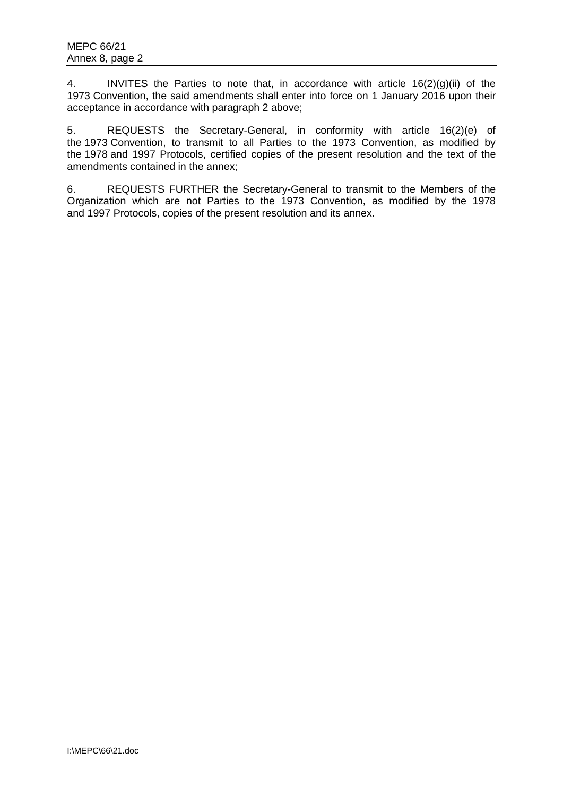4. INVITES the Parties to note that, in accordance with article 16(2)(g)(ii) of the 1973 Convention, the said amendments shall enter into force on 1 January 2016 upon their acceptance in accordance with paragraph 2 above;

5. REQUESTS the Secretary-General, in conformity with article 16(2)(e) of the 1973 Convention, to transmit to all Parties to the 1973 Convention, as modified by the 1978 and 1997 Protocols, certified copies of the present resolution and the text of the amendments contained in the annex;

6. REQUESTS FURTHER the Secretary-General to transmit to the Members of the Organization which are not Parties to the 1973 Convention, as modified by the 1978 and 1997 Protocols, copies of the present resolution and its annex.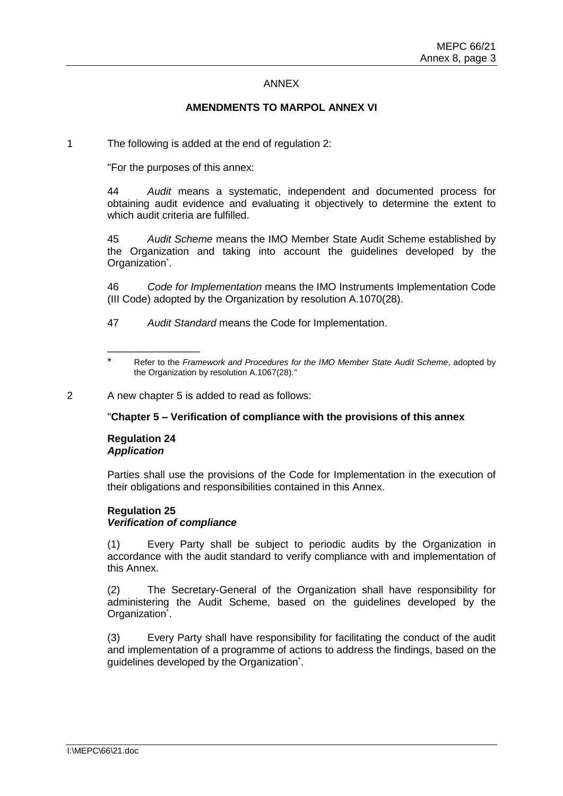#### ANNEX

# **AMENDMENTS TO MARPOL ANNEX VI**

1 The following is added at the end of regulation 2:

"For the purposes of this annex:

44 *Audit* means a systematic, independent and documented process for obtaining audit evidence and evaluating it objectively to determine the extent to which audit criteria are fulfilled.

45 *Audit Scheme* means the IMO Member State Audit Scheme established by the Organization and taking into account the guidelines developed by the Organization<sup>\*</sup>.

46 *Code for Implementation* means the IMO Instruments Implementation Code (III Code) adopted by the Organization by resolution A.1070(28).

47 *Audit Standard* means the Code for Implementation.

"**Chapter 5 – Verification of compliance with the provisions of this annex** 

## **Regulation 24** *Application*

\_\_\_\_\_\_\_\_\_\_\_\_\_\_\_\_

Parties shall use the provisions of the Code for Implementation in the execution of their obligations and responsibilities contained in this Annex.

## **Regulation 25** *Verification of compliance*

(1) Every Party shall be subject to periodic audits by the Organization in accordance with the audit standard to verify compliance with and implementation of this Annex.

(2) The Secretary-General of the Organization shall have responsibility for administering the Audit Scheme, based on the guidelines developed by the Organization<sup>\*</sup>.

(3) Every Party shall have responsibility for facilitating the conduct of the audit and implementation of a programme of actions to address the findings, based on the guidelines developed by the Organization<sup>\*</sup>.

<sup>\*</sup> Refer to the *Framework and Procedures for the IMO Member State Audit Scheme*, adopted by the Organization by resolution A.1067(28)."

<sup>2</sup> A new chapter 5 is added to read as follows: